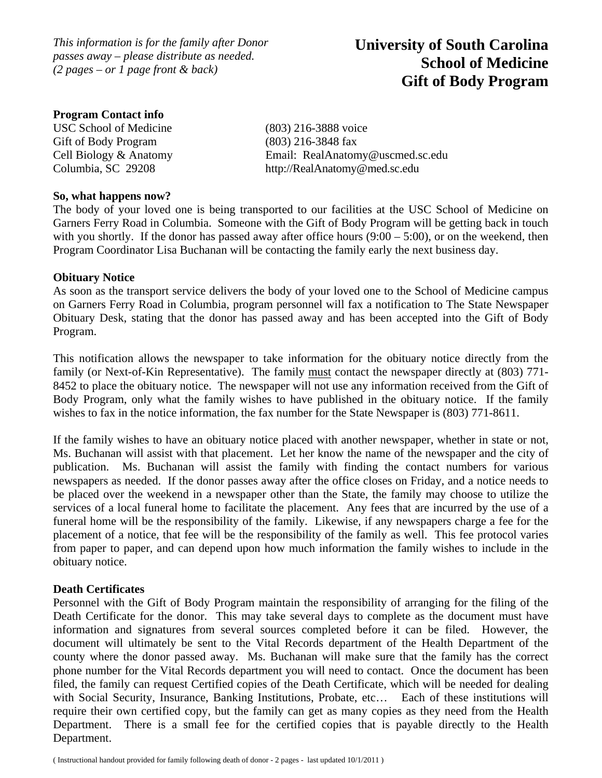*This information is for the family after Donor passes away – please distribute as needed. (2 pages – or 1 page front & back)* 

# **University of South Carolina School of Medicine Gift of Body Program**

### **Program Contact info**

USC School of Medicine (803) 216-3888 voice Gift of Body Program (803) 216-3848 fax

Cell Biology & Anatomy Email: RealAnatomy@uscmed.sc.edu Columbia, SC 29208 http://RealAnatomy@med.sc.edu

#### **So, what happens now?**

The body of your loved one is being transported to our facilities at the USC School of Medicine on Garners Ferry Road in Columbia. Someone with the Gift of Body Program will be getting back in touch with you shortly. If the donor has passed away after office hours  $(9:00 - 5:00)$ , or on the weekend, then Program Coordinator Lisa Buchanan will be contacting the family early the next business day.

#### **Obituary Notice**

As soon as the transport service delivers the body of your loved one to the School of Medicine campus on Garners Ferry Road in Columbia, program personnel will fax a notification to The State Newspaper Obituary Desk, stating that the donor has passed away and has been accepted into the Gift of Body Program.

This notification allows the newspaper to take information for the obituary notice directly from the family (or Next-of-Kin Representative). The family must contact the newspaper directly at (803) 771- 8452 to place the obituary notice. The newspaper will not use any information received from the Gift of Body Program, only what the family wishes to have published in the obituary notice. If the family wishes to fax in the notice information, the fax number for the State Newspaper is (803) 771-8611.

If the family wishes to have an obituary notice placed with another newspaper, whether in state or not, Ms. Buchanan will assist with that placement. Let her know the name of the newspaper and the city of publication. Ms. Buchanan will assist the family with finding the contact numbers for various newspapers as needed. If the donor passes away after the office closes on Friday, and a notice needs to be placed over the weekend in a newspaper other than the State, the family may choose to utilize the services of a local funeral home to facilitate the placement. Any fees that are incurred by the use of a funeral home will be the responsibility of the family. Likewise, if any newspapers charge a fee for the placement of a notice, that fee will be the responsibility of the family as well. This fee protocol varies from paper to paper, and can depend upon how much information the family wishes to include in the obituary notice.

## **Death Certificates**

Personnel with the Gift of Body Program maintain the responsibility of arranging for the filing of the Death Certificate for the donor. This may take several days to complete as the document must have information and signatures from several sources completed before it can be filed. However, the document will ultimately be sent to the Vital Records department of the Health Department of the county where the donor passed away. Ms. Buchanan will make sure that the family has the correct phone number for the Vital Records department you will need to contact. Once the document has been filed, the family can request Certified copies of the Death Certificate, which will be needed for dealing with Social Security, Insurance, Banking Institutions, Probate, etc... Each of these institutions will require their own certified copy, but the family can get as many copies as they need from the Health Department. There is a small fee for the certified copies that is payable directly to the Health Department.